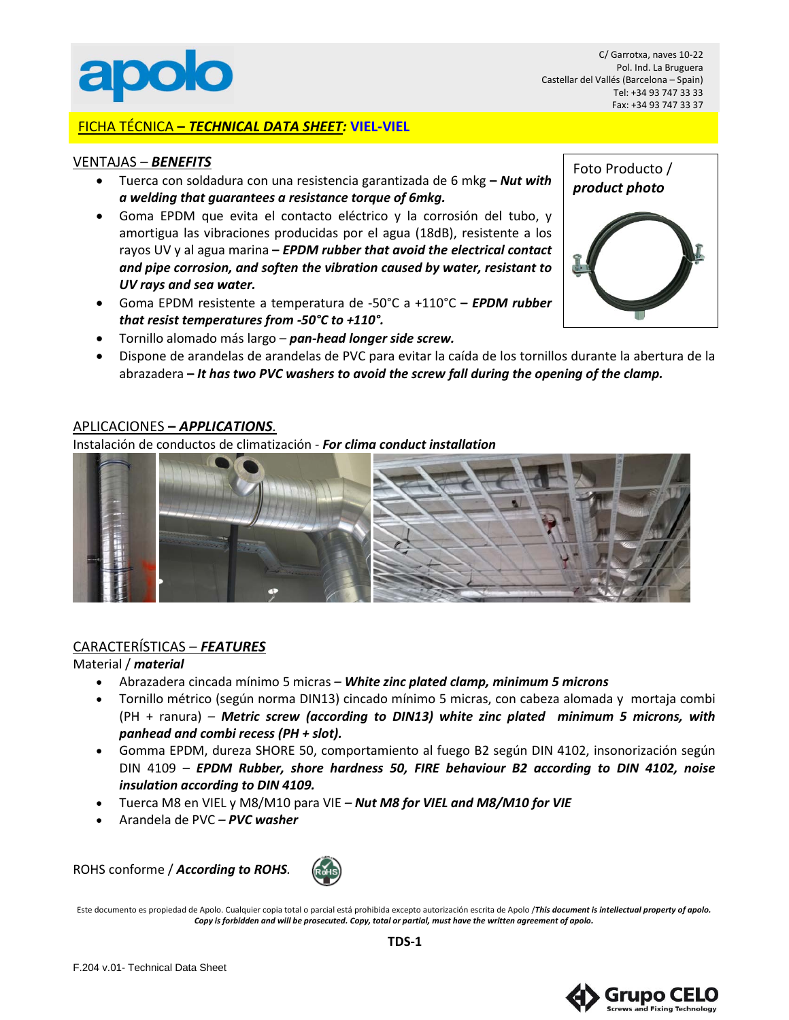

C/ Garrotxa, naves 10-22 Pol. Ind. La Bruguera Castellar del Vallés (Barcelona – Spain) Tel: +34 93 747 33 33 Fax: +34 93 747 33 37

## FICHA TÉCNICA **–** *TECHNICAL DATA SHEET:* **VIEL-VIEL**

#### VENTAJAS – *BENEFITS*

- Tuerca con soldadura con una resistencia garantizada de 6 mkg **–** *Nut with a welding that guarantees a resistance torque of 6mkg.*
- Goma EPDM que evita el contacto eléctrico y la corrosión del tubo, y amortigua las vibraciones producidas por el agua (18dB), resistente a los rayos UV y al agua marina **–** *EPDM rubber that avoid the electrical contact and pipe corrosion, and soften the vibration caused by water, resistant to UV rays and sea water.*
- Goma EPDM resistente a temperatura de -50°C a +110°C **–** *EPDM rubber that resist temperatures from -50°C to +110°.*



- Tornillo alomado más largo *pan-head longer side screw.*
- Dispone de arandelas de arandelas de PVC para evitar la caída de los tornillos durante la abertura de la abrazadera **–** *It has two PVC washers to avoid the screw fall during the opening of the clamp.*

## APLICACIONES **–** *APPLICATIONS.*

Instalación de conductos de climatización - *For clima conduct installation*



## CARACTERÍSTICAS – *FEATURES*

#### Material / *material*

- Abrazadera cincada mínimo 5 micras *– White zinc plated clamp, minimum 5 microns*
- Tornillo métrico (según norma DIN13) cincado mínimo 5 micras, con cabeza alomada y mortaja combi (PH + ranura) *– Metric screw (according to DIN13) white zinc plated minimum 5 microns, with panhead and combi recess (PH + slot).*
- Gomma EPDM, dureza SHORE 50, comportamiento al fuego B2 según DIN 4102, insonorización según DIN 4109 *– EPDM Rubber, shore hardness 50, FIRE behaviour B2 according to DIN 4102, noise insulation according to DIN 4109.*
- Tuerca M8 en VIEL y M8/M10 para VIE *– Nut M8 for VIEL and M8/M10 for VIE*
- Arandela de PVC *– PVC washer*

ROHS conforme / *According to ROHS.*



Este documento es propiedad de Apolo. Cualquier copia total o parcial está prohibida excepto autorización escrita de Apolo /*This document is intellectual property of apolo. Copy is forbidden and will be prosecuted. Copy, total or partial, must have the written agreement of apolo.*